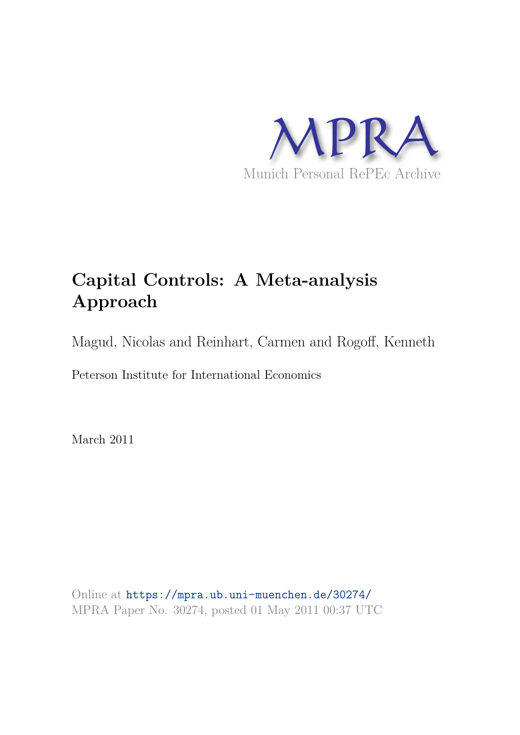

## **Capital Controls: A Meta-analysis Approach**

Magud, Nicolas and Reinhart, Carmen and Rogoff, Kenneth

Peterson Institute for International Economics

March 2011

Online at https://mpra.ub.uni-muenchen.de/30274/ MPRA Paper No. 30274, posted 01 May 2011 00:37 UTC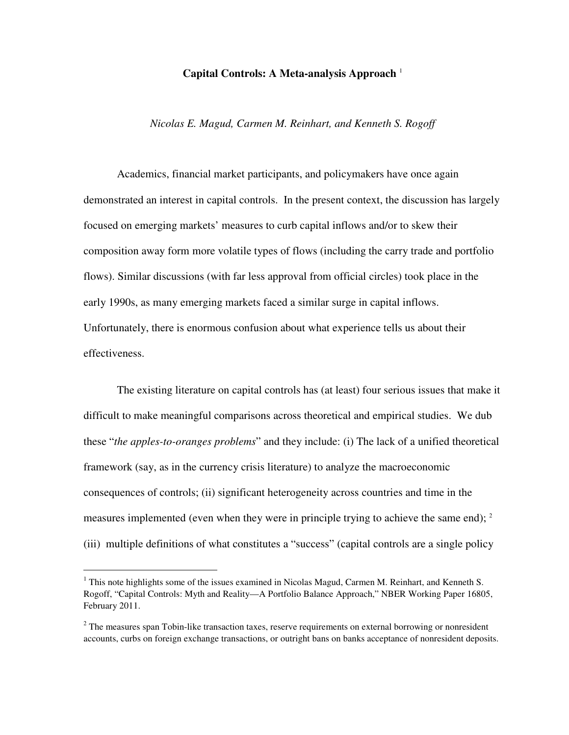## **Capital Controls: A Meta-analysis Approach** <sup>1</sup>

*Nicolas E. Magud, Carmen M. Reinhart, and Kenneth S. Rogoff* 

Academics, financial market participants, and policymakers have once again demonstrated an interest in capital controls. In the present context, the discussion has largely focused on emerging markets' measures to curb capital inflows and/or to skew their composition away form more volatile types of flows (including the carry trade and portfolio flows). Similar discussions (with far less approval from official circles) took place in the early 1990s, as many emerging markets faced a similar surge in capital inflows. Unfortunately, there is enormous confusion about what experience tells us about their effectiveness.

The existing literature on capital controls has (at least) four serious issues that make it difficult to make meaningful comparisons across theoretical and empirical studies. We dub these "*the apples-to-oranges problems*" and they include: (i) The lack of a unified theoretical framework (say, as in the currency crisis literature) to analyze the macroeconomic consequences of controls; (ii) significant heterogeneity across countries and time in the measures implemented (even when they were in principle trying to achieve the same end); <sup>2</sup> (iii) multiple definitions of what constitutes a "success" (capital controls are a single policy

<u>.</u>

 $1$  This note highlights some of the issues examined in Nicolas Magud, Carmen M. Reinhart, and Kenneth S. Rogoff, "Capital Controls: Myth and Reality—A Portfolio Balance Approach," NBER Working Paper 16805, February 2011.

 $2$  The measures span Tobin-like transaction taxes, reserve requirements on external borrowing or nonresident accounts, curbs on foreign exchange transactions, or outright bans on banks acceptance of nonresident deposits.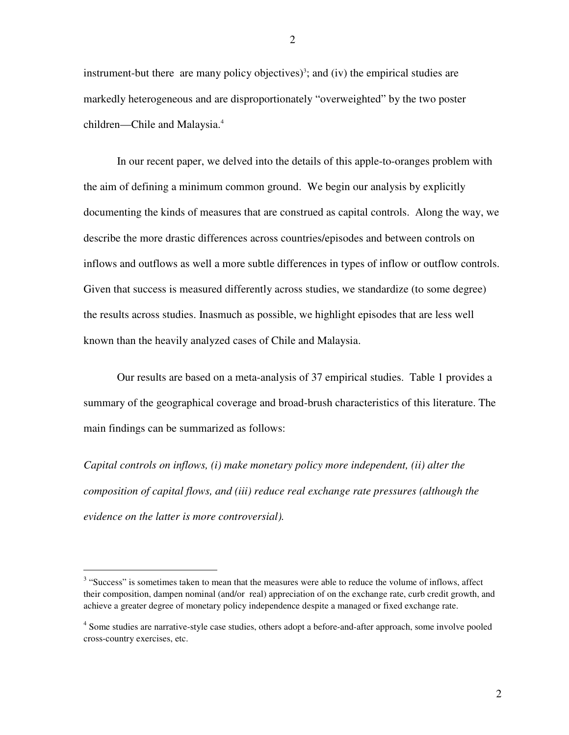instrument-but there are many policy objectives)<sup>3</sup>; and (iv) the empirical studies are markedly heterogeneous and are disproportionately "overweighted" by the two poster children—Chile and Malaysia.<sup>4</sup>

In our recent paper, we delved into the details of this apple-to-oranges problem with the aim of defining a minimum common ground. We begin our analysis by explicitly documenting the kinds of measures that are construed as capital controls. Along the way, we describe the more drastic differences across countries/episodes and between controls on inflows and outflows as well a more subtle differences in types of inflow or outflow controls. Given that success is measured differently across studies, we standardize (to some degree) the results across studies. Inasmuch as possible, we highlight episodes that are less well known than the heavily analyzed cases of Chile and Malaysia.

Our results are based on a meta-analysis of 37 empirical studies. Table 1 provides a summary of the geographical coverage and broad-brush characteristics of this literature. The main findings can be summarized as follows:

*Capital controls on inflows, (i) make monetary policy more independent, (ii) alter the composition of capital flows, and (iii) reduce real exchange rate pressures (although the evidence on the latter is more controversial).* 

<u>.</u>

2

 $3$  "Success" is sometimes taken to mean that the measures were able to reduce the volume of inflows, affect their composition, dampen nominal (and/or real) appreciation of on the exchange rate, curb credit growth, and achieve a greater degree of monetary policy independence despite a managed or fixed exchange rate.

<sup>&</sup>lt;sup>4</sup> Some studies are narrative-style case studies, others adopt a before-and-after approach, some involve pooled cross-country exercises, etc.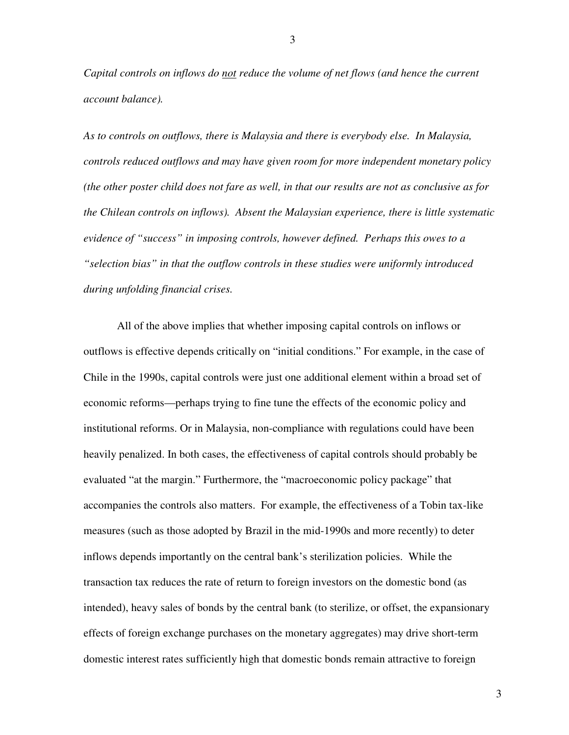*Capital controls on inflows do not reduce the volume of net flows (and hence the current account balance).* 

*As to controls on outflows, there is Malaysia and there is everybody else. In Malaysia, controls reduced outflows and may have given room for more independent monetary policy (the other poster child does not fare as well, in that our results are not as conclusive as for the Chilean controls on inflows). Absent the Malaysian experience, there is little systematic evidence of "success" in imposing controls, however defined. Perhaps this owes to a "selection bias" in that the outflow controls in these studies were uniformly introduced during unfolding financial crises.* 

All of the above implies that whether imposing capital controls on inflows or outflows is effective depends critically on "initial conditions." For example, in the case of Chile in the 1990s, capital controls were just one additional element within a broad set of economic reforms—perhaps trying to fine tune the effects of the economic policy and institutional reforms. Or in Malaysia, non-compliance with regulations could have been heavily penalized. In both cases, the effectiveness of capital controls should probably be evaluated "at the margin." Furthermore, the "macroeconomic policy package" that accompanies the controls also matters. For example, the effectiveness of a Tobin tax-like measures (such as those adopted by Brazil in the mid-1990s and more recently) to deter inflows depends importantly on the central bank's sterilization policies. While the transaction tax reduces the rate of return to foreign investors on the domestic bond (as intended), heavy sales of bonds by the central bank (to sterilize, or offset, the expansionary effects of foreign exchange purchases on the monetary aggregates) may drive short-term domestic interest rates sufficiently high that domestic bonds remain attractive to foreign

3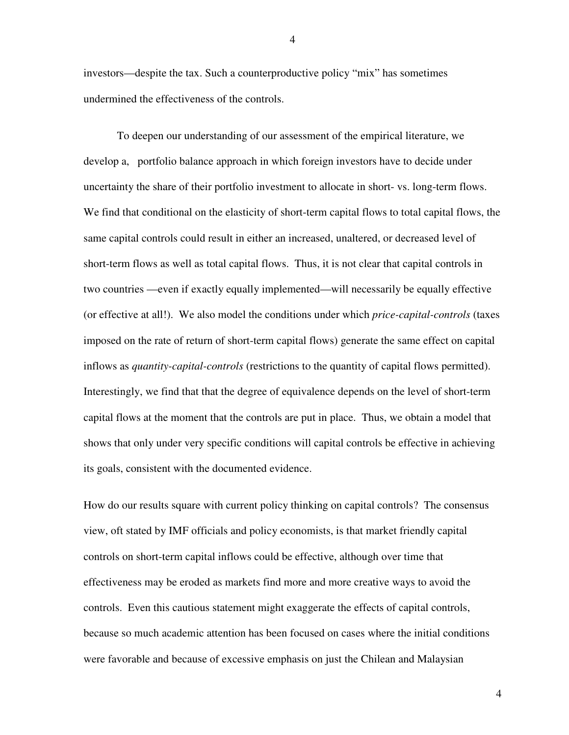investors—despite the tax. Such a counterproductive policy "mix" has sometimes undermined the effectiveness of the controls.

To deepen our understanding of our assessment of the empirical literature, we develop a, portfolio balance approach in which foreign investors have to decide under uncertainty the share of their portfolio investment to allocate in short- vs. long-term flows. We find that conditional on the elasticity of short-term capital flows to total capital flows, the same capital controls could result in either an increased, unaltered, or decreased level of short-term flows as well as total capital flows. Thus, it is not clear that capital controls in two countries —even if exactly equally implemented—will necessarily be equally effective (or effective at all!). We also model the conditions under which *price-capital-controls* (taxes imposed on the rate of return of short-term capital flows) generate the same effect on capital inflows as *quantity-capital-controls* (restrictions to the quantity of capital flows permitted). Interestingly, we find that that the degree of equivalence depends on the level of short-term capital flows at the moment that the controls are put in place. Thus, we obtain a model that shows that only under very specific conditions will capital controls be effective in achieving its goals, consistent with the documented evidence.

How do our results square with current policy thinking on capital controls? The consensus view, oft stated by IMF officials and policy economists, is that market friendly capital controls on short-term capital inflows could be effective, although over time that effectiveness may be eroded as markets find more and more creative ways to avoid the controls. Even this cautious statement might exaggerate the effects of capital controls, because so much academic attention has been focused on cases where the initial conditions were favorable and because of excessive emphasis on just the Chilean and Malaysian

4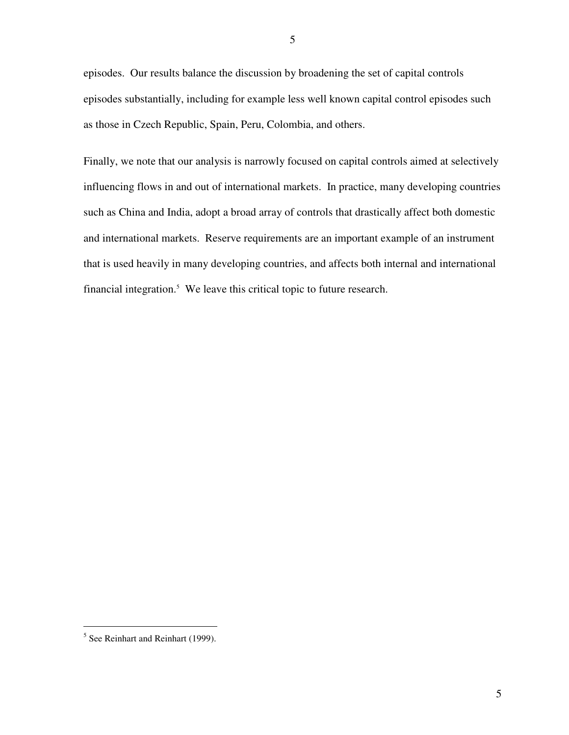episodes. Our results balance the discussion by broadening the set of capital controls episodes substantially, including for example less well known capital control episodes such as those in Czech Republic, Spain, Peru, Colombia, and others.

Finally, we note that our analysis is narrowly focused on capital controls aimed at selectively influencing flows in and out of international markets. In practice, many developing countries such as China and India, adopt a broad array of controls that drastically affect both domestic and international markets. Reserve requirements are an important example of an instrument that is used heavily in many developing countries, and affects both internal and international financial integration. $5$  We leave this critical topic to future research.

 $\overline{a}$ 

<sup>&</sup>lt;sup>5</sup> See Reinhart and Reinhart (1999).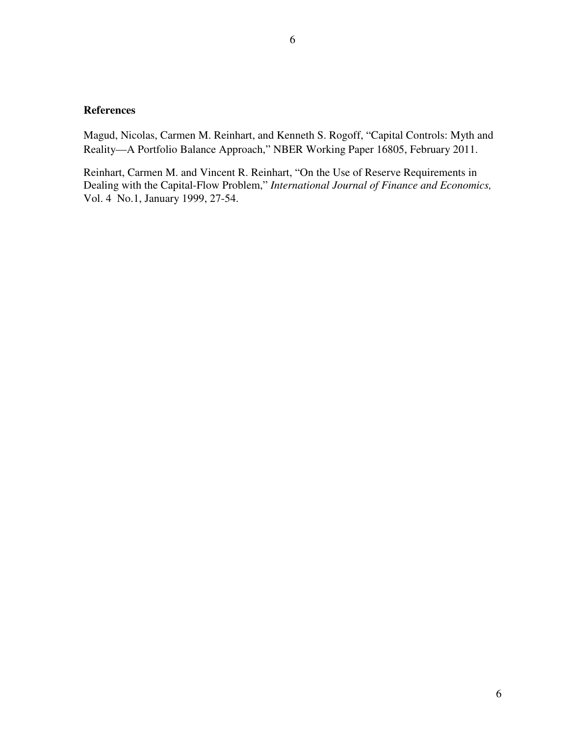Magud, Nicolas, Carmen M. Reinhart, and Kenneth S. Rogoff, "Capital Controls: Myth and Reality—A Portfolio Balance Approach," NBER Working Paper 16805, February 2011.

Reinhart, Carmen M. and Vincent R. Reinhart, "On the Use of Reserve Requirements in Dealing with the Capital-Flow Problem," *International Journal of Finance and Economics,* Vol. 4 No.1, January 1999, 27-54.